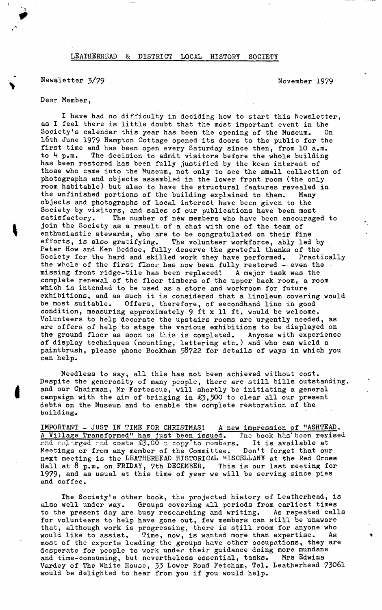## LEATHERHEAD & DISTRICT LOCAL HISTORY SOCIETY

## Newsletter  $3/79$  November 1979

## **Dear Member,**

**I have had no difficulty in deciding how to start this Newsletter, as I feel there is little doubt that the most important event in the Society's calendar this year has been the opening of the Museum. On l6th June 1979 Hampton Cottage opened its doors to the public for the first time and has been open every Saturday since then, from 10 a.m.** The decision to admit visitors before the whole building **has been restored has been fully justified by the keen interest of those who came into the Museum, not only to see the small collection of photographs and objects assembled in the lower front room (the only room habitable) but also to have the structural features revealed in the unfinished portions of the building explained to them. Many objects and photographs of local interest have been given to the Society by visitors, and sales of our publications have been most** The number of new members who have been encouraged to **join the Society as a result of a chat with one of the team of enthusiastic stewards, who are to be congratulated on their fine efforts, is also gratifying. The volunteer workforce, ably led by Peter How and Ken Beddoe, fully deserve the grateful thanks of the Society for the hard and skilled work they have performed. Practically** the whole of the first floor has now been fully restored - even the **missing front ridge-tile has been replaced'. A major task was the complete renewal of the floor timbers of the upper back room, a room which is intended to be used as a store and workroom for future exhibitions, and as such it is considered that a linoleum covering would be most suitable. Offers, therefore, of secondhand lino in good condition, measuring approximately 9 ft x 11 ft, would be welcome. Volunteers to help decorate the upstairs rooms are urgently needed, as are offers of help to stage the various exhibitions to be displayed on the ground floor as soon as this is completed. Anyone with experience of display techniques (mounting, lettering etc.) and who can wield a paintbrush, please phone Bookham 58722 for details of ways in which you can help.**

**Needless to say, all this has not been achieved without cost. Despite the generosity of many people, there are still bills, outstanding, and our Chairman, Mr Fortescue, will shortly be initiating a general campaign with the aim of bringing in £3,500 to clear all our present debts on the Museum and to enable the complete restoration of the building.**

**IMPORTANT - JUST IN TIME FOR CHRISTMAS!** A new impression of "ASHTEAD, A Village Transformed" has just been issued. The book has been revised **A Village Transformed" has just been issued. The book has' been revised rnd or4'\rged rnd costs £3.CO a copy'to members. It is available at Meetings or from any member of the Committee. Don't forget that our next meeting is the LEATHERHEAD HISTORICAL MISCELLANY- at the Red Cross Hall at 8 p.m. on FRIDAY, 7th DECEMBER. This is our last meeting for 1979, and as usual at this time of year we will be serving mince pies and coffee.**

**The Society's other book, the projected history of Leatherhead, is also well under way. Groups covering all periods from earliest times to the present day are busy researching and writing. As repeated calls for volunteers to help have gone out, few members can still be unaware that, although work is progressing, there is still room for anyone who would like to assist. Time, now, is wanted more than expertise. As most of the experts leading the groups have other occupations, they are desperate for people to work under their guidance doing more mundane and time-consuming, but nevertheless essential, tasks. Mrs Edwina Vardey of The White House, 33 Lower Road Fetcham, Tel. Leatherhead 73061 would be delighted to hear from you if you would help.**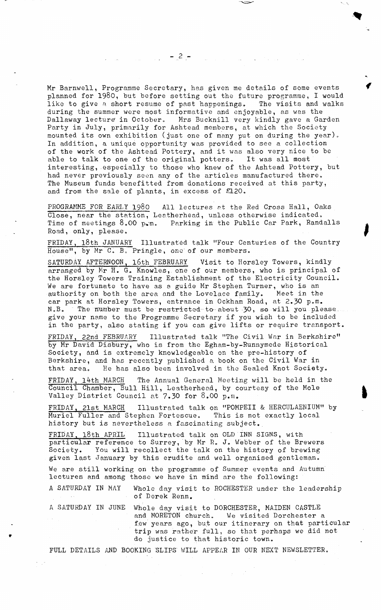Mr Barnwell, Programme Secretary, has given me details of some events planned for 1980, but before setting out the future programme, I would like to give a short resume of past happenings. The visits and walks during the summer were most informative and enjoyable, as was the Dallaway lecture in October. Mrs Bucknill very kindly gave a Garden Party in July, primarily for Ashtead members, at which the Society mounted its own exhibition (just one of many put on during the year). In addition, a unique opportunity was provided to see a collection of the work of the Ashtead Pottery, and it was also very nice to be able to talk to one of the original potters. It was all most able to talk to one of the original potters. interesting, especially to those who knew of the Ashtead Pottery, but had never previously seen any of the articles manufactured there. The Museum funds benefitted from donations received at this party, and from the sale of plants, in excess of £120.

PROGRAMME FOR EARLY 1980 All lectures at the Red Cross Hall, Oaks Close, near the station, Leatherhead, unless otherwise indicated. Time of meetings 8.00 p.m. Parking in the Public Car Park, Randalls Road, only, please.

FRIDAY, l8th JANUARY Illustrated talk "Four Centuries of the Country House", by Mr C. B. Pringle, one of our members.

SATURDAY AFTERNOON, l6th FEBRUARY Visit to Horsley Towers, kindly arranged by Mr H. G. Knowles, one of our members, who is principal of the Horsley Towers Training Establishment of the Electricity Council. We are fortunate to have as a guide Mr Stephen Turner, who is an authority on both the area and the Lovelace family. Meet in the authority on both the area and the Lovelace family. car park at Horsley Towers, entrance in Ockham Road, at 2.30 p.m.<br>N.B. The number must be restricted-to-about 30, so will you ple The number must be restricted-to about  $30$ , so will you please. give your name to the Programme Secretary if you wish to be included in the party, also stating if you can give lifts or require transport.

FRIDAY, 22nd FEBRUARY Illustrated talk "The Civil War in Berkshire" by Mr David Disbury, who is from the Egham-by-Runnymede Historical Society, and is extremely knowledgeable on the pre-history of Berkshire, and has recently published a book on the Civil War in that area. He has also been involved in the Sealed Knot Society.

FRIDAY, l4th MARCH The Annual General Meeting will be held in the Council Chamber, Bull Hill, Leatherhead, by courtesy of the Mole Valley District Council at 7.30 for 8.00 p.m.

Illustrated talk on "POMPEII & HERCULAENIUM" by FRIDAY, 21st MARCH Illustrated talk on "POMPEII & HERCULAENIUM" Muriel Fuller and Stephen Fortescue. This is not exactly local history but is nevertheless a fascinating subject.

FRIDAY, 18th APRIL Illustrated talk on OLD INN SIGNS, with particular reference to Surrey, by Mr R. J. Webber of the Brewers Society. You will recollect the talk on the history of brewing given last January by this erudite and well organised gentleman.

We are still working on the programme of Summer events and Autumn lectures and among those we have in mind are the following:

A SATURDAY IN MAY Whole day visit to ROCHESTER under the leadership of Derek Renn.

A SATURDAY IN JUNE Whole day visit to DORCHESTER, MAIDEN CASTLE and MORETON church. We visited Dorchester a few years ago, but our itinerary on that particular trip was rather full, so that perhaps we did not do justice to that historic town.

FULL DETAILS AND BOOKING SLIPS' WILL APPEAR IN OUR NEXT NEWSLETTER.